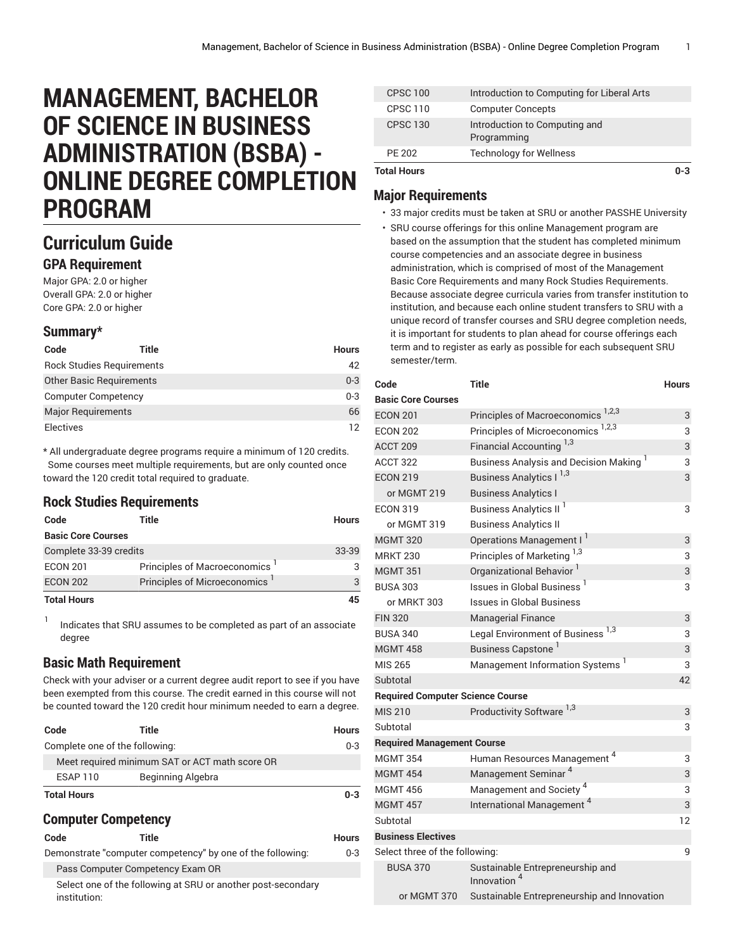# **MANAGEMENT, BACHELOR OF SCIENCE IN BUSINESS ADMINISTRATION (BSBA) - ONLINE DEGREE COMPLETION PROGRAM**

# **Curriculum Guide**

#### **GPA Requirement**

Major GPA: 2.0 or higher Overall GPA: 2.0 or higher Core GPA: 2.0 or higher

#### **Summary\***

| Code                             | Title | <b>Hours</b> |
|----------------------------------|-------|--------------|
| <b>Rock Studies Requirements</b> |       | 42           |
| <b>Other Basic Requirements</b>  |       | $0 - 3$      |
| <b>Computer Competency</b>       |       | $0 - 3$      |
| <b>Major Requirements</b>        |       | 66           |
| <b>Electives</b>                 |       | 12           |

\* All undergraduate degree programs require a minimum of 120 credits. Some courses meet multiple requirements, but are only counted once toward the 120 credit total required to graduate.

### **Rock Studies Requirements**

| Code                      | Title                        | <b>Hours</b> |
|---------------------------|------------------------------|--------------|
| <b>Basic Core Courses</b> |                              |              |
| Complete 33-39 credits    |                              | 33-39        |
| <b>ECON 201</b>           | Principles of Macroeconomics | 3            |
| <b>ECON 202</b>           | Principles of Microeconomics | 3            |
| <b>Total Hours</b>        |                              | 45           |

1 Indicates that SRU assumes to be completed as part of an associate degree

### **Basic Math Requirement**

Check with your adviser or a current degree audit report to see if you have been exempted from this course. The credit earned in this course will not be counted toward the 120 credit hour minimum needed to earn a degree.

| Code                           | Title                                          | <b>Hours</b> |
|--------------------------------|------------------------------------------------|--------------|
| Complete one of the following: |                                                | $0 - 3$      |
|                                | Meet required minimum SAT or ACT math score OR |              |
| <b>ESAP 110</b>                | Beginning Algebra                              |              |
| <b>Total Hours</b>             |                                                | $0 - 3$      |

### **Computer Competency**

| Code         | Title                                                        | <b>Hours</b> |
|--------------|--------------------------------------------------------------|--------------|
|              | Demonstrate "computer competency" by one of the following:   | $0 - 3$      |
|              | Pass Computer Competency Exam OR                             |              |
| institution: | Select one of the following at SRU or another post-secondary |              |

| <b>Total Hours</b> |                                              | በ-3 |
|--------------------|----------------------------------------------|-----|
| PF 202             | <b>Technology for Wellness</b>               |     |
| <b>CPSC 130</b>    | Introduction to Computing and<br>Programming |     |
| <b>CPSC 110</b>    | <b>Computer Concepts</b>                     |     |
| <b>CPSC 100</b>    | Introduction to Computing for Liberal Arts   |     |

## **Major Requirements**

- 33 major credits must be taken at SRU or another PASSHE University
- SRU course offerings for this online Management program are based on the assumption that the student has completed minimum course competencies and an associate degree in business administration, which is comprised of most of the Management Basic Core Requirements and many Rock Studies Requirements. Because associate degree curricula varies from transfer institution to institution, and because each online student transfers to SRU with a unique record of transfer courses and SRU degree completion needs, it is important for students to plan ahead for course offerings each term and to register as early as possible for each subsequent SRU semester/term.

| Code                                    | <b>Title</b>                                                | <b>Hours</b> |
|-----------------------------------------|-------------------------------------------------------------|--------------|
| <b>Basic Core Courses</b>               |                                                             |              |
| <b>ECON 201</b>                         | Principles of Macroeconomics 1,2,3                          | 3            |
| <b>ECON 202</b>                         | Principles of Microeconomics <sup>1,2,3</sup>               | 3            |
| <b>ACCT 209</b>                         | Financial Accounting <sup>1,3</sup>                         | 3            |
| <b>ACCT 322</b>                         | Business Analysis and Decision Making <sup>1</sup>          | 3            |
| <b>ECON 219</b>                         | Business Analytics I <sup>1,3</sup>                         | 3            |
| or MGMT 219                             | <b>Business Analytics I</b>                                 |              |
| <b>ECON 319</b>                         | Business Analytics II <sup>1</sup>                          | 3            |
| or MGMT 319                             | <b>Business Analytics II</b>                                |              |
| <b>MGMT 320</b>                         | Operations Management I <sup>1</sup>                        | 3            |
| <b>MRKT 230</b>                         | Principles of Marketing 1,3                                 | 3            |
| <b>MGMT 351</b>                         | Organizational Behavior <sup>1</sup>                        | 3            |
| <b>BUSA 303</b>                         | Issues in Global Business <sup>1</sup>                      | 3            |
| or MRKT 303                             | <b>Issues in Global Business</b>                            |              |
| <b>FIN 320</b>                          | <b>Managerial Finance</b>                                   | 3            |
| <b>BUSA 340</b>                         | Legal Environment of Business 1,3                           | 3            |
| <b>MGMT 458</b>                         | Business Capstone <sup>1</sup>                              | 3            |
| MIS 265                                 | Management Information Systems <sup>1</sup>                 | 3            |
| Subtotal                                |                                                             | 42           |
| <b>Required Computer Science Course</b> |                                                             |              |
| <b>MIS 210</b>                          | Productivity Software <sup>1,3</sup>                        | 3            |
| Subtotal                                |                                                             | 3            |
| <b>Required Management Course</b>       |                                                             |              |
| <b>MGMT 354</b>                         | Human Resources Management <sup>4</sup>                     | 3            |
| <b>MGMT 454</b>                         | Management Seminar <sup>4</sup>                             | 3            |
| <b>MGMT 456</b>                         | Management and Society <sup>4</sup>                         | 3            |
| <b>MGMT 457</b>                         | International Management <sup>4</sup>                       | 3            |
| Subtotal                                |                                                             | 12           |
| <b>Business Electives</b>               |                                                             |              |
| Select three of the following:          |                                                             | 9            |
| <b>BUSA 370</b>                         | Sustainable Entrepreneurship and<br>Innovation <sup>4</sup> |              |
| or MGMT 370                             | Sustainable Entrepreneurship and Innovation                 |              |